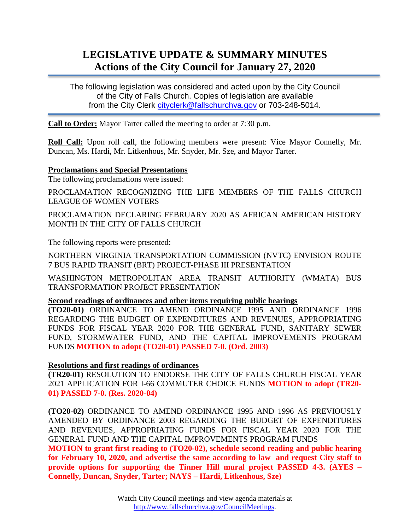# **LEGISLATIVE UPDATE & SUMMARY MINUTES Actions of the City Council for January 27, 2020**

The following legislation was considered and acted upon by the City Council of the City of Falls Church. Copies of legislation are available from the City Clerk [cityclerk@fallschurchva.gov](mailto:cityclerk@fallschurchva.gov) or 703-248-5014.

**Call to Order:** Mayor Tarter called the meeting to order at 7:30 p.m.

**Roll Call:** Upon roll call, the following members were present: Vice Mayor Connelly, Mr. Duncan, Ms. Hardi, Mr. Litkenhous, Mr. Snyder, Mr. Sze, and Mayor Tarter.

### **Proclamations and Special Presentations**

The following proclamations were issued:

PROCLAMATION RECOGNIZING THE LIFE MEMBERS OF THE FALLS CHURCH LEAGUE OF WOMEN VOTERS

PROCLAMATION DECLARING FEBRUARY 2020 AS AFRICAN AMERICAN HISTORY MONTH IN THE CITY OF FALLS CHURCH

The following reports were presented:

NORTHERN VIRGINIA TRANSPORTATION COMMISSION (NVTC) ENVISION ROUTE 7 BUS RAPID TRANSIT (BRT) PROJECT-PHASE III PRESENTATION

WASHINGTON METROPOLITAN AREA TRANSIT AUTHORITY (WMATA) BUS TRANSFORMATION PROJECT PRESENTATION

## **Second readings of ordinances and other items requiring public hearings**

**(TO20-01)** ORDINANCE TO AMEND ORDINANCE 1995 AND ORDINANCE 1996 REGARDING THE BUDGET OF EXPENDITURES AND REVENUES, APPROPRIATING FUNDS FOR FISCAL YEAR 2020 FOR THE GENERAL FUND, SANITARY SEWER FUND, STORMWATER FUND, AND THE CAPITAL IMPROVEMENTS PROGRAM FUNDS **MOTION to adopt (TO20-01) PASSED 7-0. (Ord. 2003)**

## **Resolutions and first readings of ordinances**

**(TR20-01)** RESOLUTION TO ENDORSE THE CITY OF FALLS CHURCH FISCAL YEAR 2021 APPLICATION FOR I-66 COMMUTER CHOICE FUNDS **MOTION to adopt (TR20- 01) PASSED 7-0. (Res. 2020-04)**

**(TO20-02)** ORDINANCE TO AMEND ORDINANCE 1995 AND 1996 AS PREVIOUSLY AMENDED BY ORDINANCE 2003 REGARDING THE BUDGET OF EXPENDITURES AND REVENUES, APPROPRIATING FUNDS FOR FISCAL YEAR 2020 FOR THE GENERAL FUND AND THE CAPITAL IMPROVEMENTS PROGRAM FUNDS

**MOTION to grant first reading to (TO20-02), schedule second reading and public hearing for February 10, 2020, and advertise the same according to law and request City staff to provide options for supporting the Tinner Hill mural project PASSED 4-3. (AYES – Connelly, Duncan, Snyder, Tarter; NAYS – Hardi, Litkenhous, Sze)**